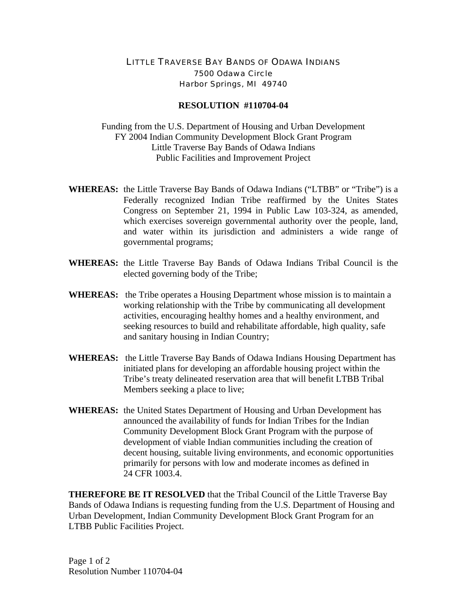## LITTLE TRAVERSE BAY BANDS OF ODAWA INDIANS 7500 Odawa Circle Harbor Springs, MI 49740

## **RESOLUTION #110704-04**

Funding from the U.S. Department of Housing and Urban Development FY 2004 Indian Community Development Block Grant Program Little Traverse Bay Bands of Odawa Indians Public Facilities and Improvement Project

- **WHEREAS:** the Little Traverse Bay Bands of Odawa Indians ("LTBB" or "Tribe") is a Federally recognized Indian Tribe reaffirmed by the Unites States Congress on September 21, 1994 in Public Law 103-324, as amended, which exercises sovereign governmental authority over the people, land, and water within its jurisdiction and administers a wide range of governmental programs;
- **WHEREAS:** the Little Traverse Bay Bands of Odawa Indians Tribal Council is the elected governing body of the Tribe;
- **WHEREAS:** the Tribe operates a Housing Department whose mission is to maintain a working relationship with the Tribe by communicating all development activities, encouraging healthy homes and a healthy environment, and seeking resources to build and rehabilitate affordable, high quality, safe and sanitary housing in Indian Country;
- **WHEREAS:** the Little Traverse Bay Bands of Odawa Indians Housing Department has initiated plans for developing an affordable housing project within the Tribe's treaty delineated reservation area that will benefit LTBB Tribal Members seeking a place to live;
- **WHEREAS:** the United States Department of Housing and Urban Development has announced the availability of funds for Indian Tribes for the Indian Community Development Block Grant Program with the purpose of development of viable Indian communities including the creation of decent housing, suitable living environments, and economic opportunities primarily for persons with low and moderate incomes as defined in 24 CFR 1003.4.

**THEREFORE BE IT RESOLVED** that the Tribal Council of the Little Traverse Bay Bands of Odawa Indians is requesting funding from the U.S. Department of Housing and Urban Development, Indian Community Development Block Grant Program for an LTBB Public Facilities Project.